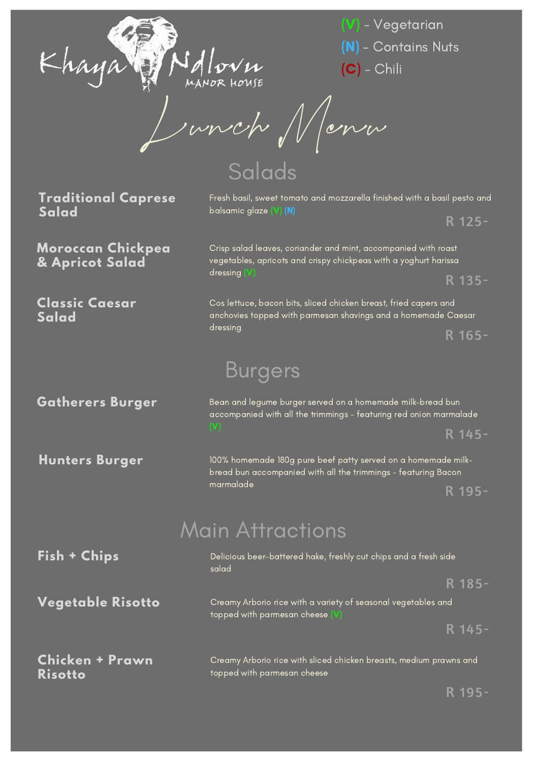

(V) - Vegetarian (N) - Contains Nuts (C) - Chili

Lunch Menu

Salads

**Traditional Caprese Salad**

Fresh basil, sweet tomato and mozzarella finished with a basil pesto and balsamic glaze (V) (N)

R 125-

**Moroccan Chickpea & Apricot Salad**

**Classic Caesar Salad**

vegetables, apricots and crispy chickpeas with a yoghurt harissa dressing (V) R 135-

Crisp salad leaves, coriander and mint, accompanied with roast

Cos lettuce, bacon bits, sliced chicken breast, fried capers and anchovies topped with parmesan shavings and a homemade Caesar dressing

R 165-

## Burgers

**Gatherers Burger**

**Hunters Burger**

Bean and legume burger served on a homemade milk-bread bun accompanied with all the trimmings - featuring red onion marmalade R 145-

100% homemade 180g pure beef patty served on a homemade milkbread bun accompanied with all the trimmings - featuring Bacon marmalade R 195-

## Main Attractions

| Fish + Chips                      | Delicious beer-battered hake, freshly cut chips and a fresh side<br>salad                         |  |
|-----------------------------------|---------------------------------------------------------------------------------------------------|--|
|                                   | R 185-                                                                                            |  |
| Vegetable Risotto                 | Creamy Arborio rice with a variety of seasonal vegetables and<br>topped with parmesan cheese (V)  |  |
|                                   | R 145-                                                                                            |  |
| Chicken + Prawn<br><b>Risotto</b> | Creamy Arborio rice with sliced chicken breasts, medium prawns and<br>topped with parmesan cheese |  |

R 195-